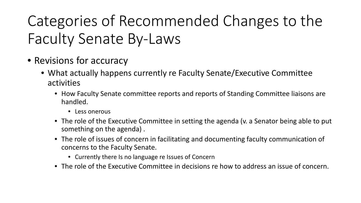## Categories of Recommended Changes to the Faculty Senate By-Laws

- Revisions for accuracy
	- What actually happens currently re Faculty Senate/Executive Committee activities
		- How Faculty Senate committee reports and reports of Standing Committee liaisons are handled.
			- Less onerous
		- The role of the Executive Committee in setting the agenda (v. a Senator being able to put something on the agenda) .
		- The role of issues of concern in facilitating and documenting faculty communication of concerns to the Faculty Senate.
			- Currently there Is no language re Issues of Concern
		- The role of the Executive Committee in decisions re how to address an issue of concern.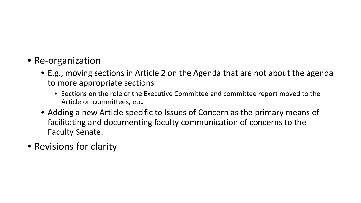## • Re-organization

- E.g., moving sections in Article 2 on the Agenda that are not about the agenda to more appropriate sections
	- Sections on the role of the Executive Committee and committee report moved to the Article on committees, etc.
- Adding a new Article specific to Issues of Concern as the primary means of facilitating and documenting faculty communication of concerns to the Faculty Senate.
- Revisions for clarity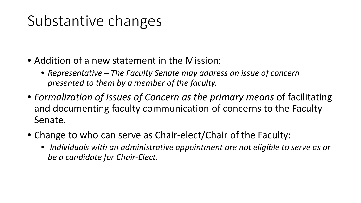## Substantive changes

- Addition of a new statement in the Mission:
	- *Representative – The Faculty Senate may address an issue of concern presented to them by a member of the faculty.*
- *Formalization of Issues of Concern as the primary means of facilitating* and documenting faculty communication of concerns to the Faculty Senate.
- Change to who can serve as Chair-elect/Chair of the Faculty:
	- *Individuals with an administrative appointment are not eligible to serve as or be a candidate for Chair-Elect.*